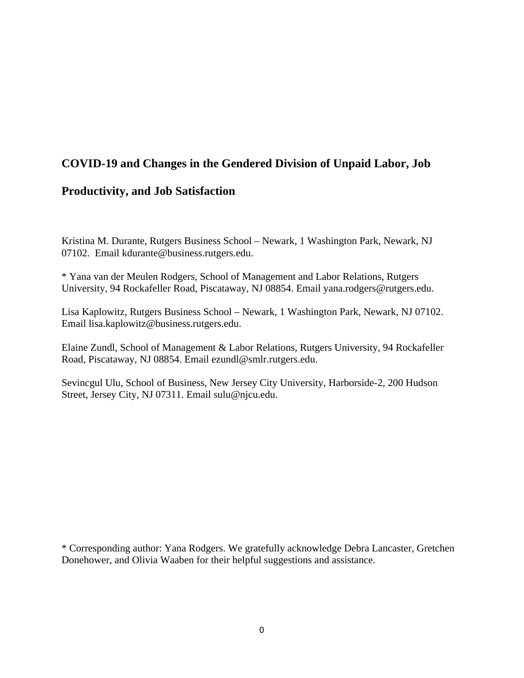# **COVID-19 and Changes in the Gendered Division of Unpaid Labor, Job**

# **Productivity, and Job Satisfaction**

Kristina M. Durante, Rutgers Business School – Newark, 1 Washington Park, Newark, NJ 07102. Email kdurante@business.rutgers.edu.

\* Yana van der Meulen Rodgers, School of Management and Labor Relations, Rutgers University, 94 Rockafeller Road, Piscataway, NJ 08854. Email yana.rodgers@rutgers.edu.

Lisa Kaplowitz, Rutgers Business School – Newark, 1 Washington Park, Newark, NJ 07102. Email lisa.kaplowitz@business.rutgers.edu.

Elaine Zundl, School of Management & Labor Relations, Rutgers University, 94 Rockafeller Road, Piscataway, NJ 08854. Email ezundl@smlr.rutgers.edu.

Sevincgul Ulu, School of Business, New Jersey City University, Harborside-2, 200 Hudson Street, Jersey City, NJ 07311. Email sulu@njcu.edu.

\* Corresponding author: Yana Rodgers. We gratefully acknowledge Debra Lancaster, Gretchen Donehower, and Olivia Waaben for their helpful suggestions and assistance.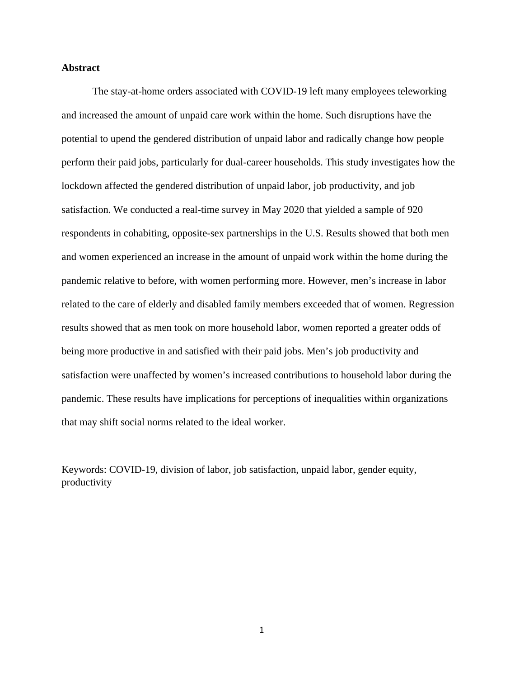# **Abstract**

The stay-at-home orders associated with COVID-19 left many employees teleworking and increased the amount of unpaid care work within the home. Such disruptions have the potential to upend the gendered distribution of unpaid labor and radically change how people perform their paid jobs, particularly for dual-career households. This study investigates how the lockdown affected the gendered distribution of unpaid labor, job productivity, and job satisfaction. We conducted a real-time survey in May 2020 that yielded a sample of 920 respondents in cohabiting, opposite-sex partnerships in the U.S. Results showed that both men and women experienced an increase in the amount of unpaid work within the home during the pandemic relative to before, with women performing more. However, men's increase in labor related to the care of elderly and disabled family members exceeded that of women. Regression results showed that as men took on more household labor, women reported a greater odds of being more productive in and satisfied with their paid jobs. Men's job productivity and satisfaction were unaffected by women's increased contributions to household labor during the pandemic. These results have implications for perceptions of inequalities within organizations that may shift social norms related to the ideal worker.

Keywords: COVID-19, division of labor, job satisfaction, unpaid labor, gender equity, productivity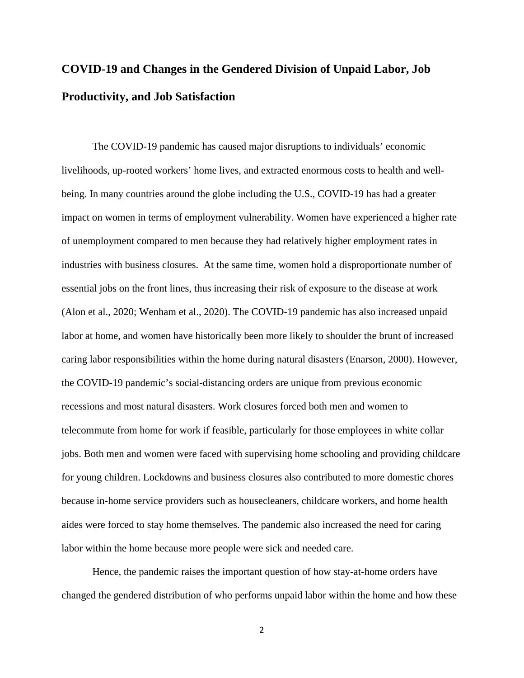# **COVID-19 and Changes in the Gendered Division of Unpaid Labor, Job Productivity, and Job Satisfaction**

The COVID-19 pandemic has caused major disruptions to individuals' economic livelihoods, up-rooted workers' home lives, and extracted enormous costs to health and wellbeing. In many countries around the globe including the U.S., COVID-19 has had a greater impact on women in terms of employment vulnerability. Women have experienced a higher rate of unemployment compared to men because they had relatively higher employment rates in industries with business closures. At the same time, women hold a disproportionate number of essential jobs on the front lines, thus increasing their risk of exposure to the disease at work (Alon et al., 2020; Wenham et al., 2020). The COVID-19 pandemic has also increased unpaid labor at home, and women have historically been more likely to shoulder the brunt of increased caring labor responsibilities within the home during natural disasters (Enarson, 2000). However, the COVID-19 pandemic's social-distancing orders are unique from previous economic recessions and most natural disasters. Work closures forced both men and women to telecommute from home for work if feasible, particularly for those employees in white collar jobs. Both men and women were faced with supervising home schooling and providing childcare for young children. Lockdowns and business closures also contributed to more domestic chores because in-home service providers such as housecleaners, childcare workers, and home health aides were forced to stay home themselves. The pandemic also increased the need for caring labor within the home because more people were sick and needed care.

Hence, the pandemic raises the important question of how stay-at-home orders have changed the gendered distribution of who performs unpaid labor within the home and how these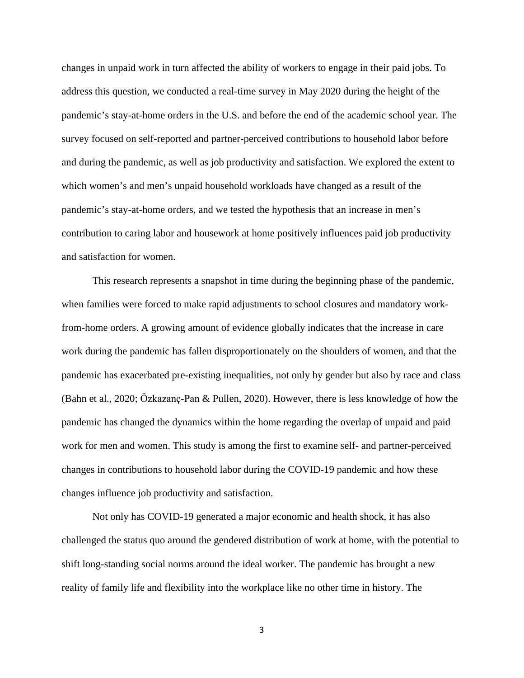changes in unpaid work in turn affected the ability of workers to engage in their paid jobs. To address this question, we conducted a real-time survey in May 2020 during the height of the pandemic's stay-at-home orders in the U.S. and before the end of the academic school year. The survey focused on self-reported and partner-perceived contributions to household labor before and during the pandemic, as well as job productivity and satisfaction. We explored the extent to which women's and men's unpaid household workloads have changed as a result of the pandemic's stay-at-home orders, and we tested the hypothesis that an increase in men's contribution to caring labor and housework at home positively influences paid job productivity and satisfaction for women.

This research represents a snapshot in time during the beginning phase of the pandemic, when families were forced to make rapid adjustments to school closures and mandatory workfrom-home orders. A growing amount of evidence globally indicates that the increase in care work during the pandemic has fallen disproportionately on the shoulders of women, and that the pandemic has exacerbated pre-existing inequalities, not only by gender but also by race and class (Bahn et al., 2020; Özkazanç‐Pan & Pullen, 2020). However, there is less knowledge of how the pandemic has changed the dynamics within the home regarding the overlap of unpaid and paid work for men and women. This study is among the first to examine self- and partner-perceived changes in contributions to household labor during the COVID-19 pandemic and how these changes influence job productivity and satisfaction.

Not only has COVID-19 generated a major economic and health shock, it has also challenged the status quo around the gendered distribution of work at home, with the potential to shift long-standing social norms around the ideal worker. The pandemic has brought a new reality of family life and flexibility into the workplace like no other time in history. The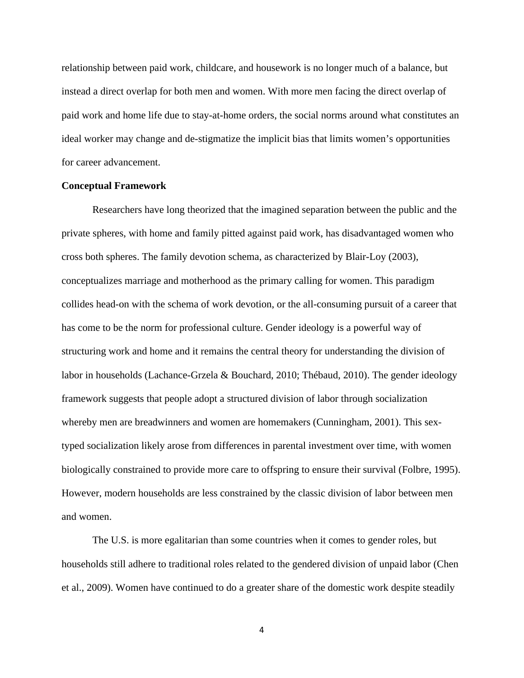relationship between paid work, childcare, and housework is no longer much of a balance, but instead a direct overlap for both men and women. With more men facing the direct overlap of paid work and home life due to stay-at-home orders, the social norms around what constitutes an ideal worker may change and de-stigmatize the implicit bias that limits women's opportunities for career advancement.

### **Conceptual Framework**

Researchers have long theorized that the imagined separation between the public and the private spheres, with home and family pitted against paid work, has disadvantaged women who cross both spheres. The family devotion schema, as characterized by Blair-Loy (2003), conceptualizes marriage and motherhood as the primary calling for women. This paradigm collides head-on with the schema of work devotion, or the all-consuming pursuit of a career that has come to be the norm for professional culture. Gender ideology is a powerful way of structuring work and home and it remains the central theory for understanding the division of labor in households (Lachance-Grzela & Bouchard, 2010; Thébaud, 2010). The gender ideology framework suggests that people adopt a structured division of labor through socialization whereby men are breadwinners and women are homemakers (Cunningham, 2001). This sextyped socialization likely arose from differences in parental investment over time, with women biologically constrained to provide more care to offspring to ensure their survival (Folbre, 1995). However, modern households are less constrained by the classic division of labor between men and women.

The U.S. is more egalitarian than some countries when it comes to gender roles, but households still adhere to traditional roles related to the gendered division of unpaid labor (Chen et al., 2009). Women have continued to do a greater share of the domestic work despite steadily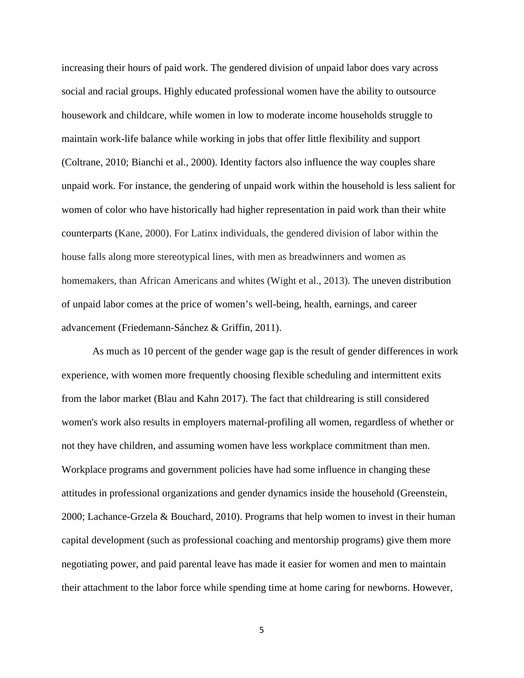increasing their hours of paid work. The gendered division of unpaid labor does vary across social and racial groups. Highly educated professional women have the ability to outsource housework and childcare, while women in low to moderate income households struggle to maintain work-life balance while working in jobs that offer little flexibility and support (Coltrane, 2010; Bianchi et al., 2000). Identity factors also influence the way couples share unpaid work. For instance, the gendering of unpaid work within the household is less salient for women of color who have historically had higher representation in paid work than their white counterparts [\(Kane, 2000\)](https://www-ncbi-nlm-nih-gov.proxy.libraries.rutgers.edu/pmc/articles/PMC4242524/#R44). For Latinx individuals, the gendered division of labor within the house falls along more stereotypical lines, with men as breadwinners and women as homemakers, than African Americans and whites (Wight et al., 2013). The uneven distribution of unpaid labor comes at the price of women's well-being, health, earnings, and career advancement (Friedemann-Sánchez & Griffin, 2011).

As much as 10 percent of the gender wage gap is the result of gender differences in work experience, with women more frequently choosing flexible scheduling and intermittent exits from the labor market (Blau and Kahn 2017). The fact that childrearing is still considered women's work also results in employers maternal-profiling all women, regardless of whether or not they have children, and assuming women have less workplace commitment than men. Workplace programs and government policies have had some influence in changing these attitudes in professional organizations and gender dynamics inside the household (Greenstein, 2000; Lachance-Grzela & Bouchard, 2010). Programs that help women to invest in their human capital development (such as professional coaching and mentorship programs) give them more negotiating power, and paid parental leave has made it easier for women and men to maintain their attachment to the labor force while spending time at home caring for newborns. However,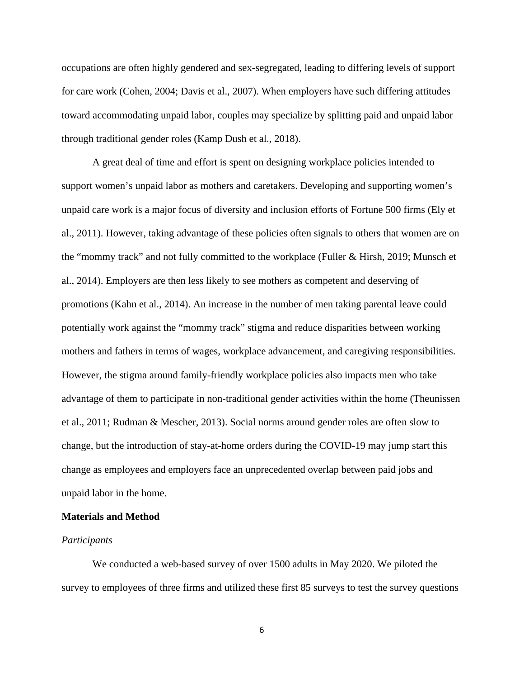occupations are often highly gendered and sex-segregated, leading to differing levels of support for care work (Cohen, 2004; Davis et al., 2007). When employers have such differing attitudes toward accommodating unpaid labor, couples may specialize by splitting paid and unpaid labor through traditional gender roles (Kamp Dush et al., 2018).

A great deal of time and effort is spent on designing workplace policies intended to support women's unpaid labor as mothers and caretakers. Developing and supporting women's unpaid care work is a major focus of diversity and inclusion efforts of Fortune 500 firms (Ely et al., 2011). However, taking advantage of these policies often signals to others that women are on the "mommy track" and not fully committed to the workplace (Fuller & Hirsh, 2019; Munsch et al., 2014). Employers are then less likely to see mothers as competent and deserving of promotions (Kahn et al., 2014). An increase in the number of men taking parental leave could potentially work against the "mommy track" stigma and reduce disparities between working mothers and fathers in terms of wages, workplace advancement, and caregiving responsibilities. However, the stigma around family-friendly workplace policies also impacts men who take advantage of them to participate in non-traditional gender activities within the home (Theunissen et al., 2011; Rudman & Mescher, 2013). Social norms around gender roles are often slow to change, but the introduction of stay-at-home orders during the COVID-19 may jump start this change as employees and employers face an unprecedented overlap between paid jobs and unpaid labor in the home.

#### **Materials and Method**

#### *Participants*

We conducted a web-based survey of over 1500 adults in May 2020. We piloted the survey to employees of three firms and utilized these first 85 surveys to test the survey questions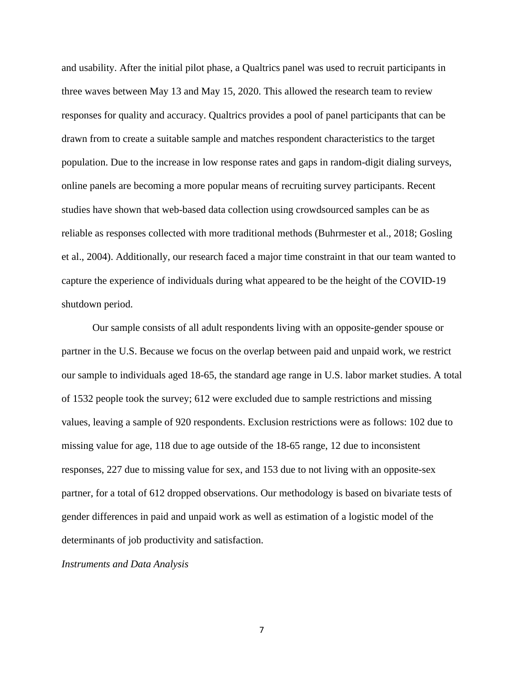and usability. After the initial pilot phase, a Qualtrics panel was used to recruit participants in three waves between May 13 and May 15, 2020. This allowed the research team to review responses for quality and accuracy. Qualtrics provides a pool of panel participants that can be drawn from to create a suitable sample and matches respondent characteristics to the target population. Due to the increase in low response rates and gaps in random-digit dialing surveys, online panels are becoming a more popular means of recruiting survey participants. Recent studies have shown that web-based data collection using crowdsourced samples can be as reliable as responses collected with more traditional methods (Buhrmester et al., 2018; Gosling et al., 2004). Additionally, our research faced a major time constraint in that our team wanted to capture the experience of individuals during what appeared to be the height of the COVID-19 shutdown period.

Our sample consists of all adult respondents living with an opposite-gender spouse or partner in the U.S. Because we focus on the overlap between paid and unpaid work, we restrict our sample to individuals aged 18-65, the standard age range in U.S. labor market studies. A total of 1532 people took the survey; 612 were excluded due to sample restrictions and missing values, leaving a sample of 920 respondents. Exclusion restrictions were as follows: 102 due to missing value for age, 118 due to age outside of the 18-65 range, 12 due to inconsistent responses, 227 due to missing value for sex, and 153 due to not living with an opposite-sex partner, for a total of 612 dropped observations. Our methodology is based on bivariate tests of gender differences in paid and unpaid work as well as estimation of a logistic model of the determinants of job productivity and satisfaction.

*Instruments and Data Analysis*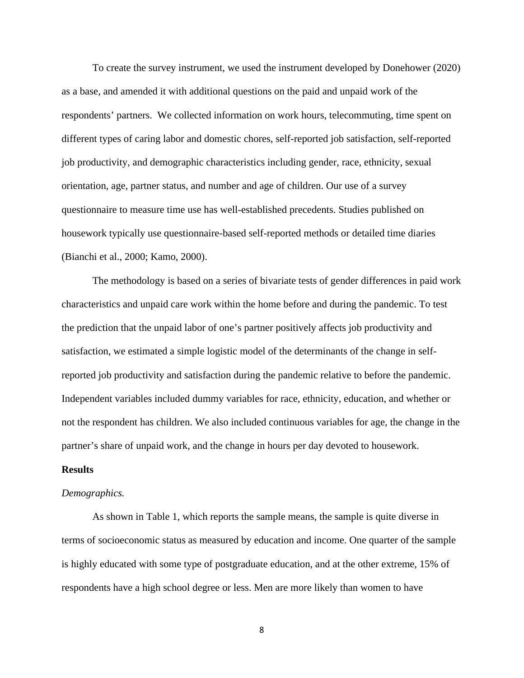To create the survey instrument, we used the instrument developed by Donehower (2020) as a base, and amended it with additional questions on the paid and unpaid work of the respondents' partners. We collected information on work hours, telecommuting, time spent on different types of caring labor and domestic chores, self-reported job satisfaction, self-reported job productivity, and demographic characteristics including gender, race, ethnicity, sexual orientation, age, partner status, and number and age of children. Our use of a survey questionnaire to measure time use has well-established precedents. Studies published on housework typically use questionnaire-based self-reported methods or detailed time diaries (Bianchi et al., 2000; Kamo, 2000).

The methodology is based on a series of bivariate tests of gender differences in paid work characteristics and unpaid care work within the home before and during the pandemic. To test the prediction that the unpaid labor of one's partner positively affects job productivity and satisfaction, we estimated a simple logistic model of the determinants of the change in selfreported job productivity and satisfaction during the pandemic relative to before the pandemic. Independent variables included dummy variables for race, ethnicity, education, and whether or not the respondent has children. We also included continuous variables for age, the change in the partner's share of unpaid work, and the change in hours per day devoted to housework.

### **Results**

#### *Demographics.*

As shown in Table 1, which reports the sample means, the sample is quite diverse in terms of socioeconomic status as measured by education and income. One quarter of the sample is highly educated with some type of postgraduate education, and at the other extreme, 15% of respondents have a high school degree or less. Men are more likely than women to have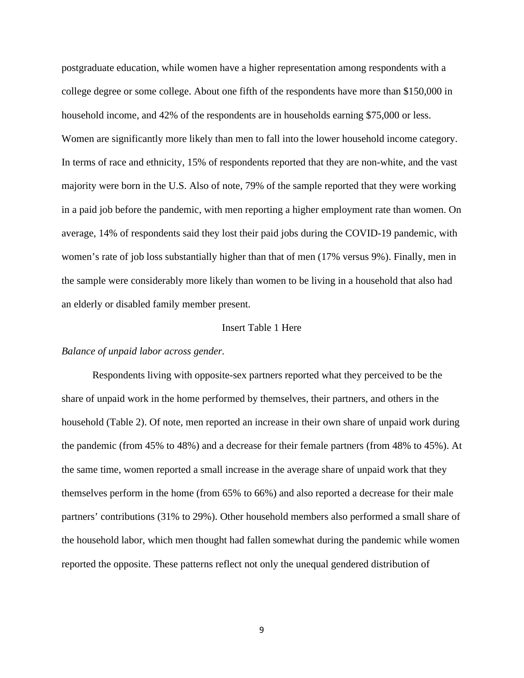postgraduate education, while women have a higher representation among respondents with a college degree or some college. About one fifth of the respondents have more than \$150,000 in household income, and 42% of the respondents are in households earning \$75,000 or less. Women are significantly more likely than men to fall into the lower household income category. In terms of race and ethnicity, 15% of respondents reported that they are non-white, and the vast majority were born in the U.S. Also of note, 79% of the sample reported that they were working in a paid job before the pandemic, with men reporting a higher employment rate than women. On average, 14% of respondents said they lost their paid jobs during the COVID-19 pandemic, with women's rate of job loss substantially higher than that of men (17% versus 9%). Finally, men in the sample were considerably more likely than women to be living in a household that also had an elderly or disabled family member present.

# Insert Table 1 Here

# *Balance of unpaid labor across gender.*

Respondents living with opposite-sex partners reported what they perceived to be the share of unpaid work in the home performed by themselves, their partners, and others in the household (Table 2). Of note, men reported an increase in their own share of unpaid work during the pandemic (from 45% to 48%) and a decrease for their female partners (from 48% to 45%). At the same time, women reported a small increase in the average share of unpaid work that they themselves perform in the home (from 65% to 66%) and also reported a decrease for their male partners' contributions (31% to 29%). Other household members also performed a small share of the household labor, which men thought had fallen somewhat during the pandemic while women reported the opposite. These patterns reflect not only the unequal gendered distribution of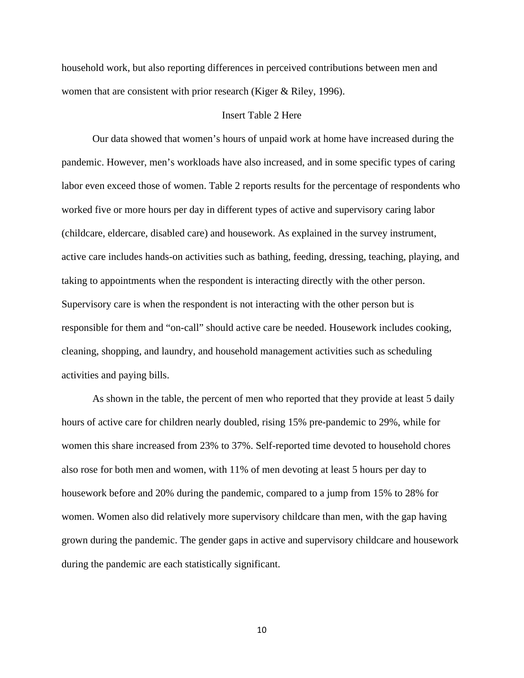household work, but also reporting differences in perceived contributions between men and women that are consistent with prior research (Kiger & Riley, 1996).

#### Insert Table 2 Here

Our data showed that women's hours of unpaid work at home have increased during the pandemic. However, men's workloads have also increased, and in some specific types of caring labor even exceed those of women. Table 2 reports results for the percentage of respondents who worked five or more hours per day in different types of active and supervisory caring labor (childcare, eldercare, disabled care) and housework. As explained in the survey instrument, active care includes hands-on activities such as bathing, feeding, dressing, teaching, playing, and taking to appointments when the respondent is interacting directly with the other person. Supervisory care is when the respondent is not interacting with the other person but is responsible for them and "on-call" should active care be needed. Housework includes cooking, cleaning, shopping, and laundry, and household management activities such as scheduling activities and paying bills.

As shown in the table, the percent of men who reported that they provide at least 5 daily hours of active care for children nearly doubled, rising 15% pre-pandemic to 29%, while for women this share increased from 23% to 37%. Self-reported time devoted to household chores also rose for both men and women, with 11% of men devoting at least 5 hours per day to housework before and 20% during the pandemic, compared to a jump from 15% to 28% for women. Women also did relatively more supervisory childcare than men, with the gap having grown during the pandemic. The gender gaps in active and supervisory childcare and housework during the pandemic are each statistically significant.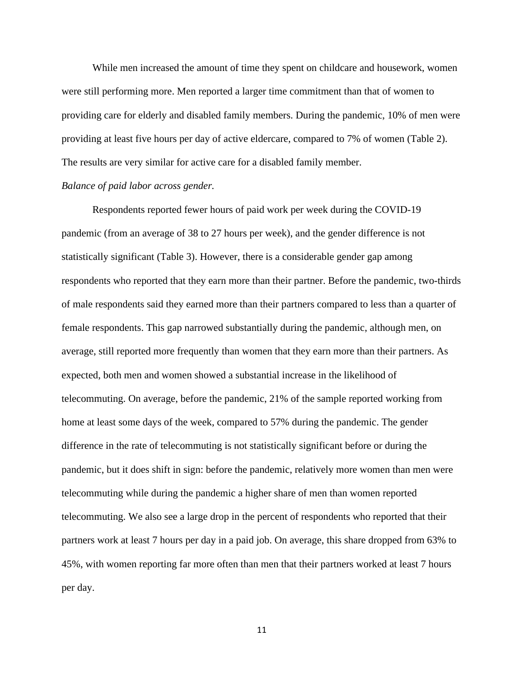While men increased the amount of time they spent on childcare and housework, women were still performing more. Men reported a larger time commitment than that of women to providing care for elderly and disabled family members. During the pandemic, 10% of men were providing at least five hours per day of active eldercare, compared to 7% of women (Table 2). The results are very similar for active care for a disabled family member.

# *Balance of paid labor across gender.*

Respondents reported fewer hours of paid work per week during the COVID-19 pandemic (from an average of 38 to 27 hours per week), and the gender difference is not statistically significant (Table 3). However, there is a considerable gender gap among respondents who reported that they earn more than their partner. Before the pandemic, two-thirds of male respondents said they earned more than their partners compared to less than a quarter of female respondents. This gap narrowed substantially during the pandemic, although men, on average, still reported more frequently than women that they earn more than their partners. As expected, both men and women showed a substantial increase in the likelihood of telecommuting. On average, before the pandemic, 21% of the sample reported working from home at least some days of the week, compared to 57% during the pandemic. The gender difference in the rate of telecommuting is not statistically significant before or during the pandemic, but it does shift in sign: before the pandemic, relatively more women than men were telecommuting while during the pandemic a higher share of men than women reported telecommuting. We also see a large drop in the percent of respondents who reported that their partners work at least 7 hours per day in a paid job. On average, this share dropped from 63% to 45%, with women reporting far more often than men that their partners worked at least 7 hours per day.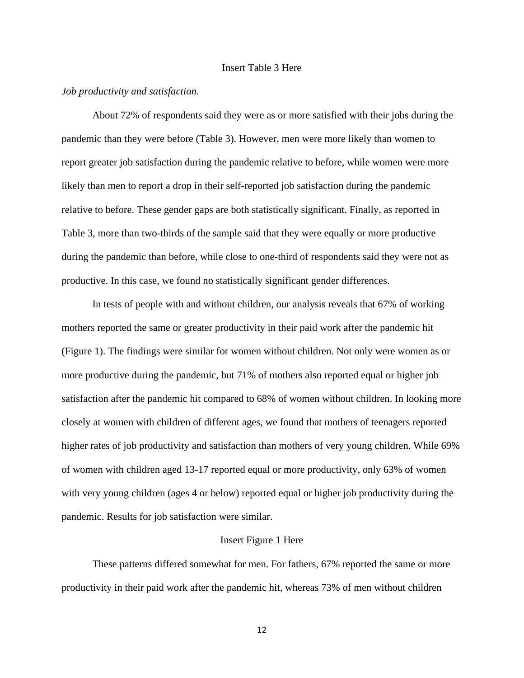# Insert Table 3 Here

### *Job productivity and satisfaction.*

About 72% of respondents said they were as or more satisfied with their jobs during the pandemic than they were before (Table 3). However, men were more likely than women to report greater job satisfaction during the pandemic relative to before, while women were more likely than men to report a drop in their self-reported job satisfaction during the pandemic relative to before. These gender gaps are both statistically significant. Finally, as reported in Table 3, more than two-thirds of the sample said that they were equally or more productive during the pandemic than before, while close to one-third of respondents said they were not as productive. In this case, we found no statistically significant gender differences.

In tests of people with and without children, our analysis reveals that 67% of working mothers reported the same or greater productivity in their paid work after the pandemic hit (Figure 1). The findings were similar for women without children. Not only were women as or more productive during the pandemic, but 71% of mothers also reported equal or higher job satisfaction after the pandemic hit compared to 68% of women without children. In looking more closely at women with children of different ages, we found that mothers of teenagers reported higher rates of job productivity and satisfaction than mothers of very young children. While 69% of women with children aged 13-17 reported equal or more productivity, only 63% of women with very young children (ages 4 or below) reported equal or higher job productivity during the pandemic. Results for job satisfaction were similar.

#### Insert Figure 1 Here

These patterns differed somewhat for men. For fathers, 67% reported the same or more productivity in their paid work after the pandemic hit, whereas 73% of men without children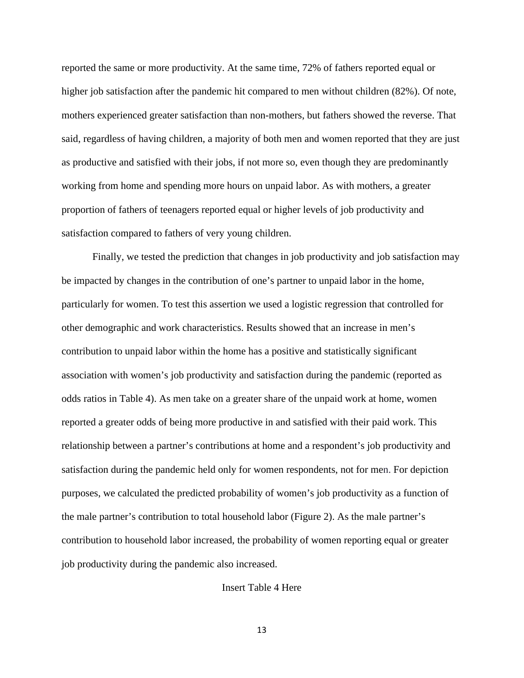reported the same or more productivity. At the same time, 72% of fathers reported equal or higher job satisfaction after the pandemic hit compared to men without children (82%). Of note, mothers experienced greater satisfaction than non-mothers, but fathers showed the reverse. That said, regardless of having children, a majority of both men and women reported that they are just as productive and satisfied with their jobs, if not more so, even though they are predominantly working from home and spending more hours on unpaid labor. As with mothers, a greater proportion of fathers of teenagers reported equal or higher levels of job productivity and satisfaction compared to fathers of very young children.

Finally, we tested the prediction that changes in job productivity and job satisfaction may be impacted by changes in the contribution of one's partner to unpaid labor in the home, particularly for women. To test this assertion we used a logistic regression that controlled for other demographic and work characteristics. Results showed that an increase in men's contribution to unpaid labor within the home has a positive and statistically significant association with women's job productivity and satisfaction during the pandemic (reported as odds ratios in Table 4). As men take on a greater share of the unpaid work at home, women reported a greater odds of being more productive in and satisfied with their paid work. This relationship between a partner's contributions at home and a respondent's job productivity and satisfaction during the pandemic held only for women respondents, not for men. For depiction purposes, we calculated the predicted probability of women's job productivity as a function of the male partner's contribution to total household labor (Figure 2). As the male partner's contribution to household labor increased, the probability of women reporting equal or greater job productivity during the pandemic also increased.

Insert Table 4 Here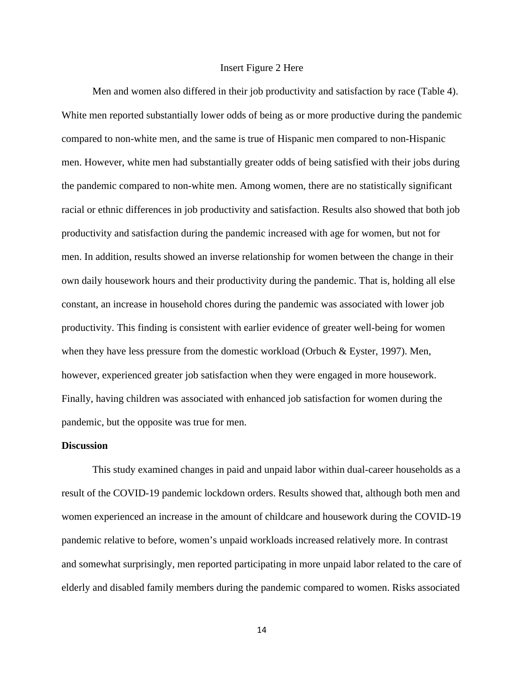#### Insert Figure 2 Here

Men and women also differed in their job productivity and satisfaction by race (Table 4). White men reported substantially lower odds of being as or more productive during the pandemic compared to non-white men, and the same is true of Hispanic men compared to non-Hispanic men. However, white men had substantially greater odds of being satisfied with their jobs during the pandemic compared to non-white men. Among women, there are no statistically significant racial or ethnic differences in job productivity and satisfaction. Results also showed that both job productivity and satisfaction during the pandemic increased with age for women, but not for men. In addition, results showed an inverse relationship for women between the change in their own daily housework hours and their productivity during the pandemic. That is, holding all else constant, an increase in household chores during the pandemic was associated with lower job productivity. This finding is consistent with earlier evidence of greater well-being for women when they have less pressure from the domestic workload (Orbuch & Eyster, 1997). Men, however, experienced greater job satisfaction when they were engaged in more housework. Finally, having children was associated with enhanced job satisfaction for women during the pandemic, but the opposite was true for men.

#### **Discussion**

This study examined changes in paid and unpaid labor within dual-career households as a result of the COVID-19 pandemic lockdown orders. Results showed that, although both men and women experienced an increase in the amount of childcare and housework during the COVID-19 pandemic relative to before, women's unpaid workloads increased relatively more. In contrast and somewhat surprisingly, men reported participating in more unpaid labor related to the care of elderly and disabled family members during the pandemic compared to women. Risks associated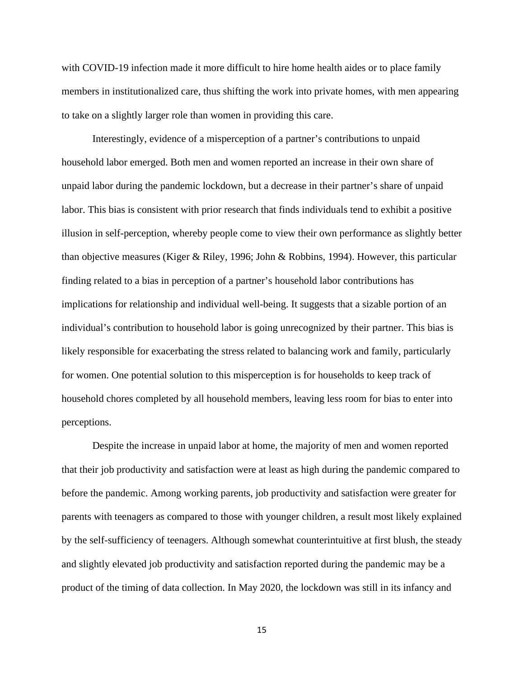with COVID-19 infection made it more difficult to hire home health aides or to place family members in institutionalized care, thus shifting the work into private homes, with men appearing to take on a slightly larger role than women in providing this care.

Interestingly, evidence of a misperception of a partner's contributions to unpaid household labor emerged. Both men and women reported an increase in their own share of unpaid labor during the pandemic lockdown, but a decrease in their partner's share of unpaid labor. This bias is consistent with prior research that finds individuals tend to exhibit a positive illusion in self-perception, whereby people come to view their own performance as slightly better than objective measures (Kiger & Riley, 1996; John & Robbins, 1994). However, this particular finding related to a bias in perception of a partner's household labor contributions has implications for relationship and individual well-being. It suggests that a sizable portion of an individual's contribution to household labor is going unrecognized by their partner. This bias is likely responsible for exacerbating the stress related to balancing work and family, particularly for women. One potential solution to this misperception is for households to keep track of household chores completed by all household members, leaving less room for bias to enter into perceptions.

Despite the increase in unpaid labor at home, the majority of men and women reported that their job productivity and satisfaction were at least as high during the pandemic compared to before the pandemic. Among working parents, job productivity and satisfaction were greater for parents with teenagers as compared to those with younger children, a result most likely explained by the self-sufficiency of teenagers. Although somewhat counterintuitive at first blush, the steady and slightly elevated job productivity and satisfaction reported during the pandemic may be a product of the timing of data collection. In May 2020, the lockdown was still in its infancy and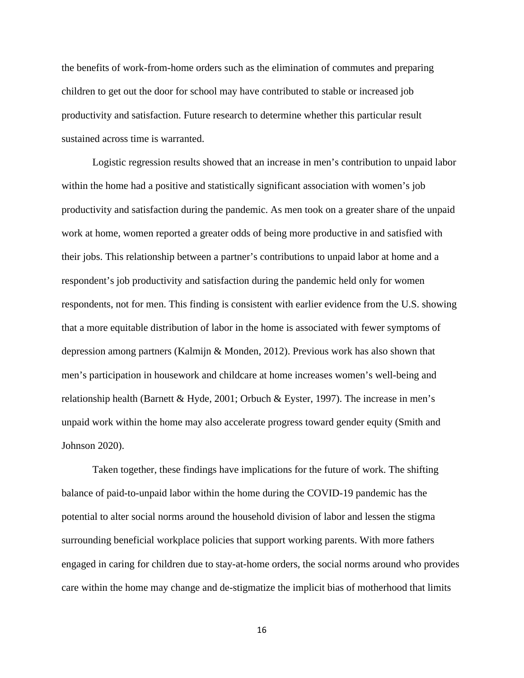the benefits of work-from-home orders such as the elimination of commutes and preparing children to get out the door for school may have contributed to stable or increased job productivity and satisfaction. Future research to determine whether this particular result sustained across time is warranted.

Logistic regression results showed that an increase in men's contribution to unpaid labor within the home had a positive and statistically significant association with women's job productivity and satisfaction during the pandemic. As men took on a greater share of the unpaid work at home, women reported a greater odds of being more productive in and satisfied with their jobs. This relationship between a partner's contributions to unpaid labor at home and a respondent's job productivity and satisfaction during the pandemic held only for women respondents, not for men. This finding is consistent with earlier evidence from the U.S. showing that a more equitable distribution of labor in the home is associated with fewer symptoms of depression among partners (Kalmijn & Monden, 2012). Previous work has also shown that men's participation in housework and childcare at home increases women's well-being and relationship health (Barnett & Hyde, 2001; Orbuch & Eyster, 1997). The increase in men's unpaid work within the home may also accelerate progress toward gender equity (Smith and Johnson 2020).

Taken together, these findings have implications for the future of work. The shifting balance of paid-to-unpaid labor within the home during the COVID-19 pandemic has the potential to alter social norms around the household division of labor and lessen the stigma surrounding beneficial workplace policies that support working parents. With more fathers engaged in caring for children due to stay-at-home orders, the social norms around who provides care within the home may change and de-stigmatize the implicit bias of motherhood that limits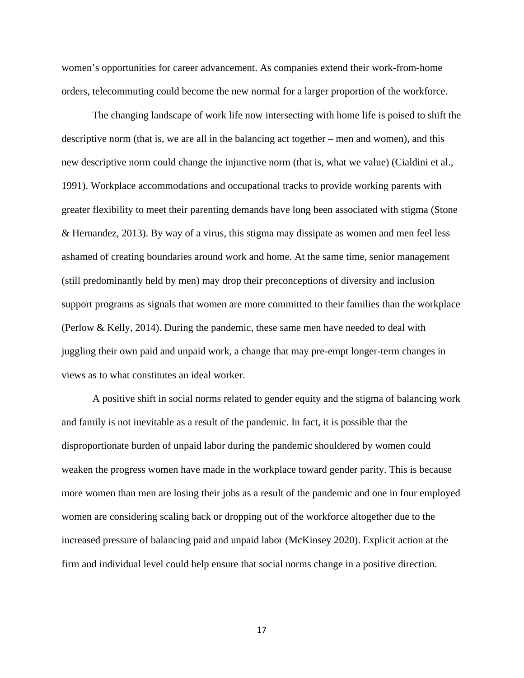women's opportunities for career advancement. As companies extend their work-from-home orders, telecommuting could become the new normal for a larger proportion of the workforce.

The changing landscape of work life now intersecting with home life is poised to shift the descriptive norm (that is, we are all in the balancing act together – men and women), and this new descriptive norm could change the injunctive norm (that is, what we value) (Cialdini et al., 1991). Workplace accommodations and occupational tracks to provide working parents with greater flexibility to meet their parenting demands have long been associated with stigma (Stone & Hernandez, 2013). By way of a virus, this stigma may dissipate as women and men feel less ashamed of creating boundaries around work and home. At the same time, senior management (still predominantly held by men) may drop their preconceptions of diversity and inclusion support programs as signals that women are more committed to their families than the workplace (Perlow & Kelly, 2014). During the pandemic, these same men have needed to deal with juggling their own paid and unpaid work, a change that may pre-empt longer-term changes in views as to what constitutes an ideal worker.

A positive shift in social norms related to gender equity and the stigma of balancing work and family is not inevitable as a result of the pandemic. In fact, it is possible that the disproportionate burden of unpaid labor during the pandemic shouldered by women could weaken the progress women have made in the workplace toward gender parity. This is because more women than men are losing their jobs as a result of the pandemic and one in four employed women are considering scaling back or dropping out of the workforce altogether due to the increased pressure of balancing paid and unpaid labor (McKinsey 2020). Explicit action at the firm and individual level could help ensure that social norms change in a positive direction.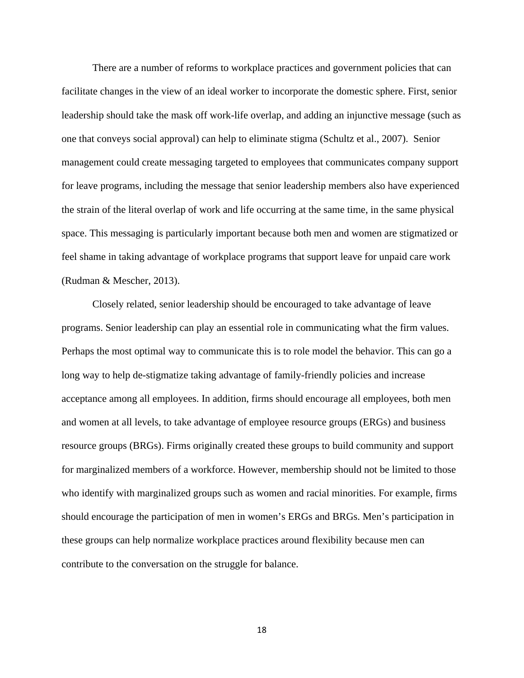There are a number of reforms to workplace practices and government policies that can facilitate changes in the view of an ideal worker to incorporate the domestic sphere. First, senior leadership should take the mask off work-life overlap, and adding an injunctive message (such as one that conveys social approval) can help to eliminate stigma (Schultz et al., 2007). Senior management could create messaging targeted to employees that communicates company support for leave programs, including the message that senior leadership members also have experienced the strain of the literal overlap of work and life occurring at the same time, in the same physical space. This messaging is particularly important because both men and women are stigmatized or feel shame in taking advantage of workplace programs that support leave for unpaid care work (Rudman & Mescher, 2013).

Closely related, senior leadership should be encouraged to take advantage of leave programs. Senior leadership can play an essential role in communicating what the firm values. Perhaps the most optimal way to communicate this is to role model the behavior. This can go a long way to help de-stigmatize taking advantage of family-friendly policies and increase acceptance among all employees. In addition, firms should encourage all employees, both men and women at all levels, to take advantage of employee resource groups (ERGs) and business resource groups (BRGs). Firms originally created these groups to build community and support for marginalized members of a workforce. However, membership should not be limited to those who identify with marginalized groups such as women and racial minorities. For example, firms should encourage the participation of men in women's ERGs and BRGs. Men's participation in these groups can help normalize workplace practices around flexibility because men can contribute to the conversation on the struggle for balance.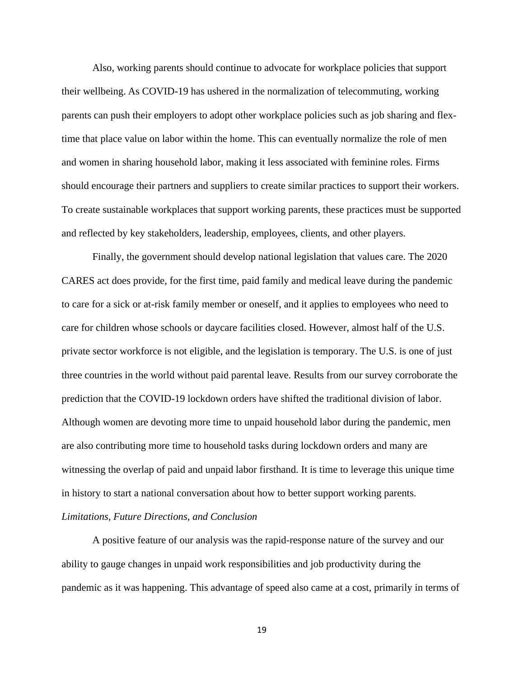Also, working parents should continue to advocate for workplace policies that support their wellbeing. As COVID-19 has ushered in the normalization of telecommuting, working parents can push their employers to adopt other workplace policies such as job sharing and flextime that place value on labor within the home. This can eventually normalize the role of men and women in sharing household labor, making it less associated with feminine roles. Firms should encourage their partners and suppliers to create similar practices to support their workers. To create sustainable workplaces that support working parents, these practices must be supported and reflected by key stakeholders, leadership, employees, clients, and other players.

Finally, the government should develop national legislation that values care. The 2020 CARES act does provide, for the first time, paid family and medical leave during the pandemic to care for a sick or at-risk family member or oneself, and it applies to employees who need to care for children whose schools or daycare facilities closed. However, almost half of the U.S. private sector workforce is not eligible, and the legislation is temporary. The U.S. is one of just three countries in the world without paid parental leave. Results from our survey corroborate the prediction that the COVID-19 lockdown orders have shifted the traditional division of labor. Although women are devoting more time to unpaid household labor during the pandemic, men are also contributing more time to household tasks during lockdown orders and many are witnessing the overlap of paid and unpaid labor firsthand. It is time to leverage this unique time in history to start a national conversation about how to better support working parents. *Limitations, Future Directions, and Conclusion*

A positive feature of our analysis was the rapid-response nature of the survey and our ability to gauge changes in unpaid work responsibilities and job productivity during the pandemic as it was happening. This advantage of speed also came at a cost, primarily in terms of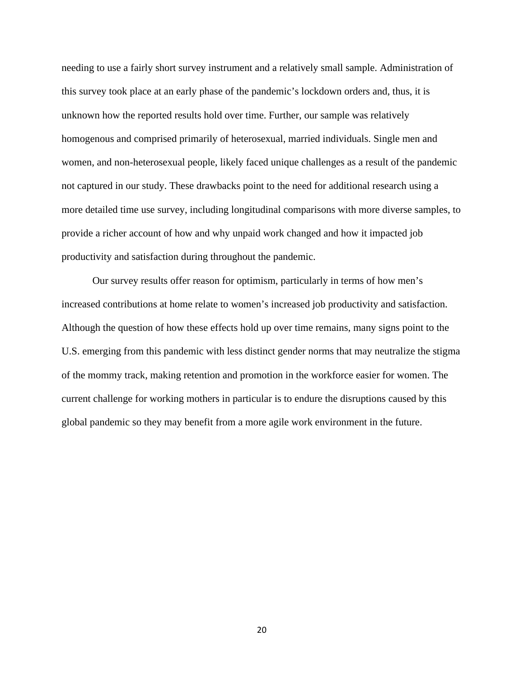needing to use a fairly short survey instrument and a relatively small sample. Administration of this survey took place at an early phase of the pandemic's lockdown orders and, thus, it is unknown how the reported results hold over time. Further, our sample was relatively homogenous and comprised primarily of heterosexual, married individuals. Single men and women, and non-heterosexual people, likely faced unique challenges as a result of the pandemic not captured in our study. These drawbacks point to the need for additional research using a more detailed time use survey, including longitudinal comparisons with more diverse samples, to provide a richer account of how and why unpaid work changed and how it impacted job productivity and satisfaction during throughout the pandemic.

Our survey results offer reason for optimism, particularly in terms of how men's increased contributions at home relate to women's increased job productivity and satisfaction. Although the question of how these effects hold up over time remains, many signs point to the U.S. emerging from this pandemic with less distinct gender norms that may neutralize the stigma of the mommy track, making retention and promotion in the workforce easier for women. The current challenge for working mothers in particular is to endure the disruptions caused by this global pandemic so they may benefit from a more agile work environment in the future.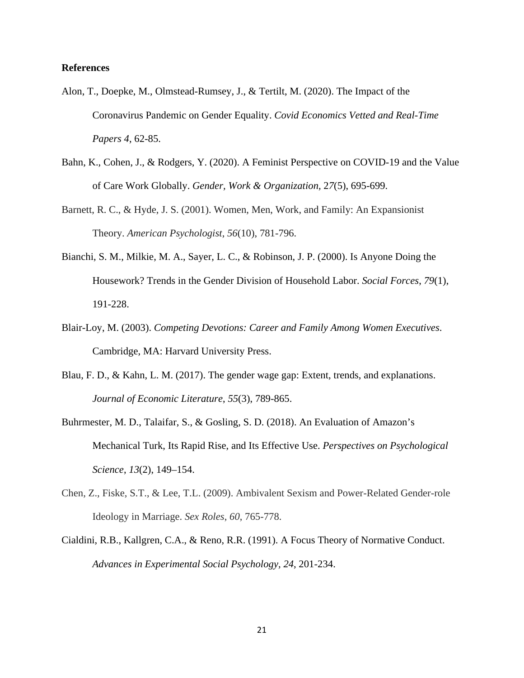# **References**

- Alon, T., Doepke, M., Olmstead-Rumsey, J., & Tertilt, M. (2020). The Impact of the Coronavirus Pandemic on Gender Equality. *Covid Economics Vetted and Real-Time Papers 4*, 62-85.
- Bahn, K., Cohen, J., & Rodgers, Y. (2020). A Feminist Perspective on COVID-19 and the Value of Care Work Globally. *Gender, Work & Organization,* 2*7*(5), 695-699.
- Barnett, R. C., & Hyde, J. S. (2001). Women, Men, Work, and Family: An Expansionist Theory. *American Psychologist*, *56*(10), 781-796.
- Bianchi, S. M., Milkie, M. A., Sayer, L. C., & Robinson, J. P. (2000). Is Anyone Doing the Housework? Trends in the Gender Division of Household Labor. *Social Forces*, *79*(1), 191-228.
- Blair-Loy, M. (2003). *Competing Devotions: Career and Family Among Women Executives*. Cambridge, MA: Harvard University Press.
- Blau, F. D., & Kahn, L. M. (2017). The gender wage gap: Extent, trends, and explanations. *Journal of Economic Literature*, *55*(3), 789-865.
- Buhrmester, M. D., Talaifar, S., & Gosling, S. D. (2018). An Evaluation of Amazon's Mechanical Turk, Its Rapid Rise, and Its Effective Use. *Perspectives on Psychological Science*, *13*(2), 149–154.
- Chen, Z., Fiske, S.T., & Lee, T.L. (2009). Ambivalent Sexism and Power-Related Gender-role Ideology in Marriage. *Sex Roles*, *60*, 765-778.
- Cialdini, R.B., Kallgren, C.A., & Reno, R.R. (1991). A Focus Theory of Normative Conduct. *Advances in Experimental Social Psychology, 24*, 201-234.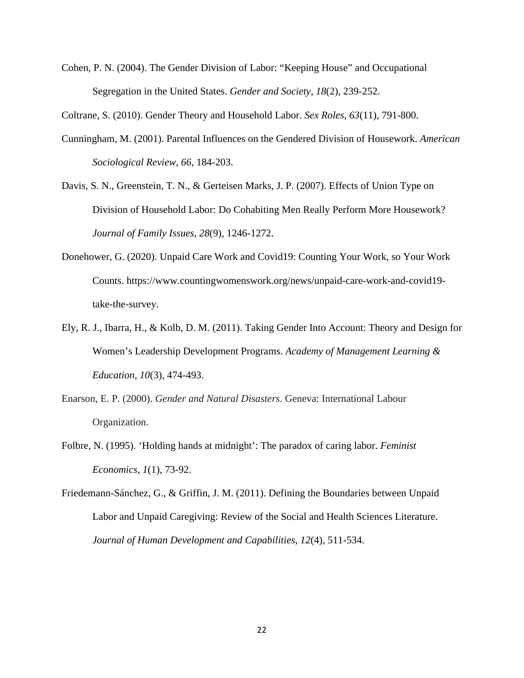Cohen, P. N. (2004). The Gender Division of Labor: "Keeping House" and Occupational Segregation in the United States. *Gender and Society*, *18*(2), 239-252.

Coltrane, S. (2010). Gender Theory and Household Labor. *Sex Roles*, *63*(11), 791-800.

- Cunningham, M. (2001). Parental Influences on the Gendered Division of Housework. *American Sociological Review, 66*, 184-203.
- Davis, S. N., Greenstein, T. N., & Gerteisen Marks, J. P. (2007). Effects of Union Type on Division of Household Labor: Do Cohabiting Men Really Perform More Housework? *Journal of Family Issues*, *28*(9), 1246-1272.
- Donehower, G. (2020). Unpaid Care Work and Covid19: Counting Your Work, so Your Work Counts. https://www.countingwomenswork.org/news/unpaid-care-work-and-covid19 take-the-survey.
- Ely, R. J., Ibarra, H., & Kolb, D. M. (2011). Taking Gender Into Account: Theory and Design for Women's Leadership Development Programs. *Academy of Management Learning & Education*, *10*(3), 474-493.
- Enarson, E. P. (2000). *Gender and Natural Disasters*. Geneva: International Labour Organization.
- Folbre, N. (1995). 'Holding hands at midnight': The paradox of caring labor. *Feminist Economics, 1*(1), 73-92.
- Friedemann-Sánchez, G., & Griffin, J. M. (2011). Defining the Boundaries between Unpaid Labor and Unpaid Caregiving: Review of the Social and Health Sciences Literature. *Journal of Human Development and Capabilities*, *12*(4), 511-534.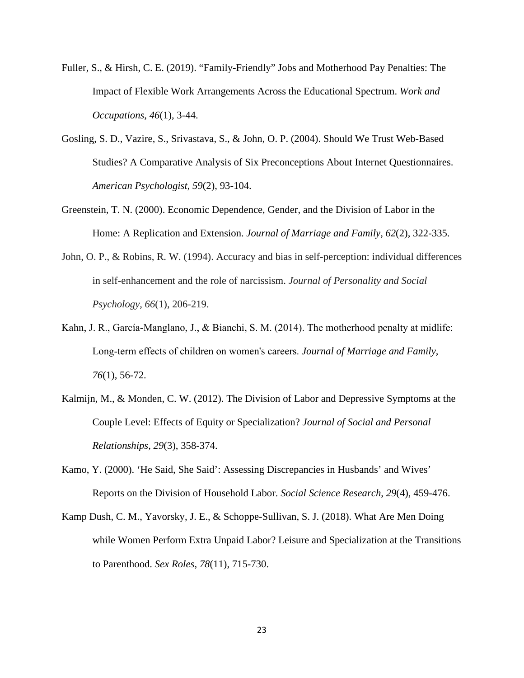- Fuller, S., & Hirsh, C. E. (2019). "Family-Friendly" Jobs and Motherhood Pay Penalties: The Impact of Flexible Work Arrangements Across the Educational Spectrum. *Work and Occupations*, *46*(1), 3-44.
- Gosling, S. D., Vazire, S., Srivastava, S., & John, O. P. (2004). Should We Trust Web-Based Studies? A Comparative Analysis of Six Preconceptions About Internet Questionnaires. *American Psychologist*, *59*(2), 93-104.
- Greenstein, T. N. (2000). Economic Dependence, Gender, and the Division of Labor in the Home: A Replication and Extension. *Journal of Marriage and Family*, *62*(2), 322-335.
- John, O. P., & Robins, R. W. (1994). Accuracy and bias in self-perception: individual differences in self-enhancement and the role of narcissism. *Journal of Personality and Social Psychology*, *66*(1), 206-219.
- Kahn, J. R., García-Manglano, J., & Bianchi, S. M. (2014). The motherhood penalty at midlife: Long‐term effects of children on women's careers. *Journal of Marriage and Family*, *76*(1), 56-72.
- Kalmijn, M., & Monden, C. W. (2012). The Division of Labor and Depressive Symptoms at the Couple Level: Effects of Equity or Specialization? *Journal of Social and Personal Relationships, 29*(3), 358-374.
- Kamo, Y. (2000). 'He Said, She Said': Assessing Discrepancies in Husbands' and Wives' Reports on the Division of Household Labor. *Social Science Research*, *29*(4), 459-476.
- Kamp Dush, C. M., Yavorsky, J. E., & Schoppe-Sullivan, S. J. (2018). What Are Men Doing while Women Perform Extra Unpaid Labor? Leisure and Specialization at the Transitions to Parenthood. *Sex Roles*, *78*(11), 715-730.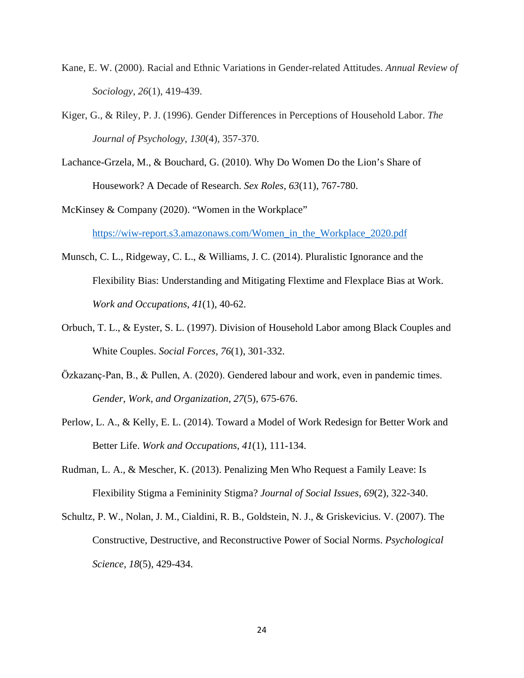- Kane, E. W. (2000). Racial and Ethnic Variations in Gender-related Attitudes. *Annual Review of Sociology*, *26*(1), 419-439.
- Kiger, G., & Riley, P. J. (1996). Gender Differences in Perceptions of Household Labor. *The Journal of Psychology*, *130*(4), 357-370.
- Lachance-Grzela, M., & Bouchard, G. (2010). Why Do Women Do the Lion's Share of Housework? A Decade of Research. *Sex Roles*, *63*(11), 767-780.

McKinsey & Company (2020). "Women in the Workplace" [https://wiw-report.s3.amazonaws.com/Women\\_in\\_the\\_Workplace\\_2020.pdf](https://wiw-report.s3.amazonaws.com/Women_in_the_Workplace_2020.pdf)

- Munsch, C. L., Ridgeway, C. L., & Williams, J. C. (2014). Pluralistic Ignorance and the Flexibility Bias: Understanding and Mitigating Flextime and Flexplace Bias at Work. *Work and Occupations*, *41*(1), 40-62.
- Orbuch, T. L., & Eyster, S. L. (1997). Division of Household Labor among Black Couples and White Couples. *Social Forces*, *76*(1), 301-332.
- Özkazanç‐Pan, B., & Pullen, A. (2020). Gendered labour and work, even in pandemic times. *Gender, Work, and Organization, 27*(5), 675-676.
- Perlow, L. A., & Kelly, E. L. (2014). Toward a Model of Work Redesign for Better Work and Better Life. *Work and Occupations*, *41*(1), 111-134.
- Rudman, L. A., & Mescher, K. (2013). Penalizing Men Who Request a Family Leave: Is Flexibility Stigma a Femininity Stigma? *Journal of Social Issues*, *69*(2), 322-340.
- Schultz, P. W., Nolan, J. M., Cialdini, R. B., Goldstein, N. J., & Griskevicius. V. (2007). The Constructive, Destructive, and Reconstructive Power of Social Norms. *Psychological Science, 18*(5), 429-434.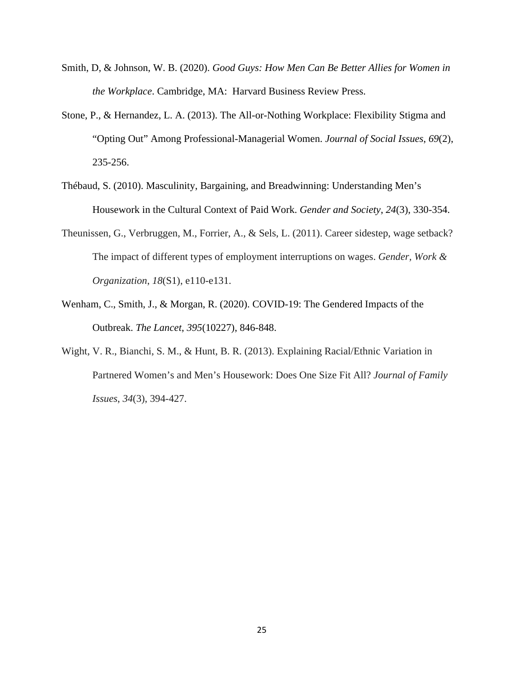- Smith, D, & Johnson, W. B. (2020). *Good Guys: How Men Can Be Better Allies for Women in the Workplace*. Cambridge, MA: Harvard Business Review Press.
- Stone, P., & Hernandez, L. A. (2013). The All-or-Nothing Workplace: Flexibility Stigma and "Opting Out" Among Professional-Managerial Women. *Journal of Social Issues*, *69*(2), 235-256.
- Thébaud, S. (2010). Masculinity, Bargaining, and Breadwinning: Understanding Men's Housework in the Cultural Context of Paid Work. *Gender and Society*, *24*(3), 330-354.
- Theunissen, G., Verbruggen, M., Forrier, A., & Sels, L. (2011). Career sidestep, wage setback? The impact of different types of employment interruptions on wages. *Gender, Work & Organization*, *18*(S1), e110-e131.
- Wenham, C., Smith, J., & Morgan, R. (2020). COVID-19: The Gendered Impacts of the Outbreak. *The Lancet*, *395*(10227), 846-848.
- Wight, V. R., Bianchi, S. M., & Hunt, B. R. (2013). Explaining Racial/Ethnic Variation in Partnered Women's and Men's Housework: Does One Size Fit All? *Journal of Family Issues*, *34*(3), 394-427.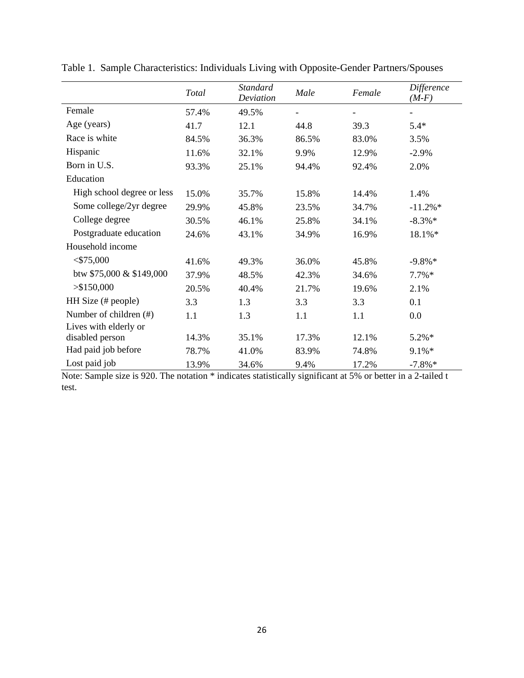|                            | Total | <b>Standard</b><br>Deviation | Male  | Female | Difference<br>$(M-F)$ |
|----------------------------|-------|------------------------------|-------|--------|-----------------------|
| Female                     | 57.4% | 49.5%                        |       | -      | -                     |
| Age (years)                | 41.7  | 12.1                         | 44.8  | 39.3   | $5.4*$                |
| Race is white              | 84.5% | 36.3%                        | 86.5% | 83.0%  | 3.5%                  |
| Hispanic                   | 11.6% | 32.1%                        | 9.9%  | 12.9%  | $-2.9%$               |
| Born in U.S.               | 93.3% | 25.1%                        | 94.4% | 92.4%  | 2.0%                  |
| Education                  |       |                              |       |        |                       |
| High school degree or less | 15.0% | 35.7%                        | 15.8% | 14.4%  | 1.4%                  |
| Some college/2yr degree    | 29.9% | 45.8%                        | 23.5% | 34.7%  | $-11.2\%*$            |
| College degree             | 30.5% | 46.1%                        | 25.8% | 34.1%  | $-8.3\%*$             |
| Postgraduate education     | 24.6% | 43.1%                        | 34.9% | 16.9%  | 18.1%*                |
| Household income           |       |                              |       |        |                       |
| $<$ \$75,000               | 41.6% | 49.3%                        | 36.0% | 45.8%  | $-9.8\%*$             |
| btw \$75,000 & \$149,000   | 37.9% | 48.5%                        | 42.3% | 34.6%  | $7.7\%*$              |
| > \$150,000                | 20.5% | 40.4%                        | 21.7% | 19.6%  | 2.1%                  |
| HH Size (# people)         | 3.3   | 1.3                          | 3.3   | 3.3    | 0.1                   |
| Number of children (#)     | 1.1   | 1.3                          | 1.1   | 1.1    | 0.0                   |
| Lives with elderly or      |       |                              |       |        |                       |
| disabled person            | 14.3% | 35.1%                        | 17.3% | 12.1%  | 5.2%*                 |
| Had paid job before        | 78.7% | 41.0%                        | 83.9% | 74.8%  | 9.1%*                 |
| Lost paid job              | 13.9% | 34.6%                        | 9.4%  | 17.2%  | $-7.8\%*$             |

Table 1. Sample Characteristics: Individuals Living with Opposite-Gender Partners/Spouses

Note: Sample size is 920. The notation \* indicates statistically significant at 5% or better in a 2-tailed t test.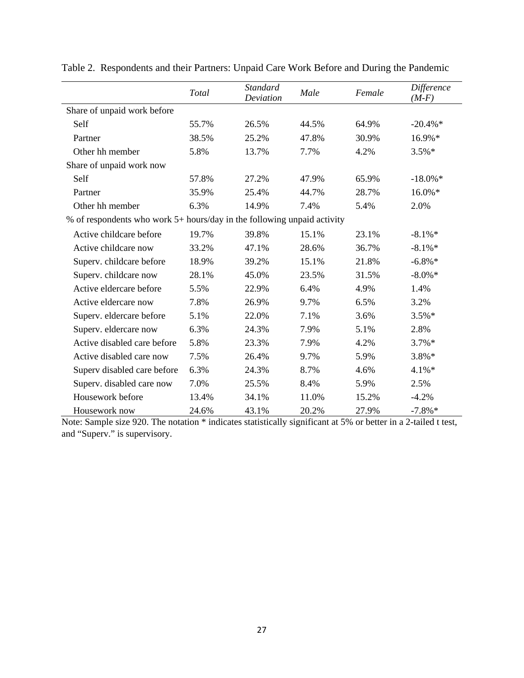|                                                                         | Total | <b>Standard</b><br>Deviation | Male  | Female | Difference<br>$(M-F)$ |
|-------------------------------------------------------------------------|-------|------------------------------|-------|--------|-----------------------|
| Share of unpaid work before                                             |       |                              |       |        |                       |
| Self                                                                    | 55.7% | 26.5%                        | 44.5% | 64.9%  | $-20.4\%$ *           |
| Partner                                                                 | 38.5% | 25.2%                        | 47.8% | 30.9%  | 16.9%*                |
| Other hh member                                                         | 5.8%  | 13.7%                        | 7.7%  | 4.2%   | $3.5\%*$              |
| Share of unpaid work now                                                |       |                              |       |        |                       |
| Self                                                                    | 57.8% | 27.2%                        | 47.9% | 65.9%  | $-18.0\%$ *           |
| Partner                                                                 | 35.9% | 25.4%                        | 44.7% | 28.7%  | 16.0%*                |
| Other hh member                                                         | 6.3%  | 14.9%                        | 7.4%  | 5.4%   | 2.0%                  |
| % of respondents who work 5+ hours/day in the following unpaid activity |       |                              |       |        |                       |
| Active childcare before                                                 | 19.7% | 39.8%                        | 15.1% | 23.1%  | $-8.1\%*$             |
| Active childcare now                                                    | 33.2% | 47.1%                        | 28.6% | 36.7%  | $-8.1\%*$             |
| Superv. childcare before                                                | 18.9% | 39.2%                        | 15.1% | 21.8%  | $-6.8\%*$             |
| Superv. childcare now                                                   | 28.1% | 45.0%                        | 23.5% | 31.5%  | $-8.0\% *$            |
| Active eldercare before                                                 | 5.5%  | 22.9%                        | 6.4%  | 4.9%   | 1.4%                  |
| Active eldercare now                                                    | 7.8%  | 26.9%                        | 9.7%  | 6.5%   | 3.2%                  |
| Superv. eldercare before                                                | 5.1%  | 22.0%                        | 7.1%  | 3.6%   | $3.5\%*$              |
| Superv. eldercare now                                                   | 6.3%  | 24.3%                        | 7.9%  | 5.1%   | 2.8%                  |
| Active disabled care before                                             | 5.8%  | 23.3%                        | 7.9%  | 4.2%   | $3.7\%*$              |
| Active disabled care now                                                | 7.5%  | 26.4%                        | 9.7%  | 5.9%   | $3.8\%*$              |
| Superv disabled care before                                             | 6.3%  | 24.3%                        | 8.7%  | 4.6%   | $4.1\%*$              |
| Superv. disabled care now                                               | 7.0%  | 25.5%                        | 8.4%  | 5.9%   | 2.5%                  |
| Housework before                                                        | 13.4% | 34.1%                        | 11.0% | 15.2%  | $-4.2%$               |
| Housework now                                                           | 24.6% | 43.1%                        | 20.2% | 27.9%  | $-7.8\%*$             |

Table 2. Respondents and their Partners: Unpaid Care Work Before and During the Pandemic

Note: Sample size 920. The notation \* indicates statistically significant at 5% or better in a 2-tailed t test, and "Superv." is supervisory.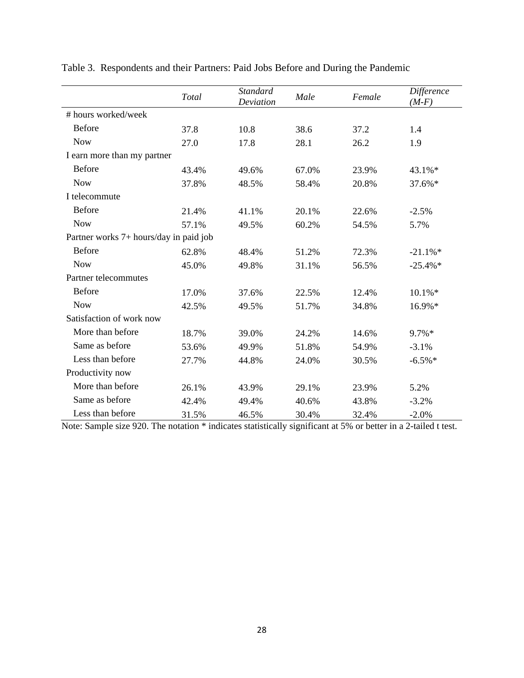|                                        | Total | <b>Standard</b><br>Deviation | Male  | Female | Difference<br>$(M-F)$ |  |
|----------------------------------------|-------|------------------------------|-------|--------|-----------------------|--|
| # hours worked/week                    |       |                              |       |        |                       |  |
| <b>Before</b>                          | 37.8  | 10.8                         | 38.6  | 37.2   | 1.4                   |  |
| <b>Now</b>                             | 27.0  | 17.8                         | 28.1  | 26.2   | 1.9                   |  |
| I earn more than my partner            |       |                              |       |        |                       |  |
| <b>Before</b>                          | 43.4% | 49.6%                        | 67.0% | 23.9%  | 43.1%*                |  |
| <b>Now</b>                             | 37.8% | 48.5%                        | 58.4% | 20.8%  | 37.6%*                |  |
| I telecommute                          |       |                              |       |        |                       |  |
| <b>Before</b>                          | 21.4% | 41.1%                        | 20.1% | 22.6%  | $-2.5%$               |  |
| <b>Now</b>                             | 57.1% | 49.5%                        | 60.2% | 54.5%  | 5.7%                  |  |
| Partner works 7+ hours/day in paid job |       |                              |       |        |                       |  |
| <b>Before</b>                          | 62.8% | 48.4%                        | 51.2% | 72.3%  | $-21.1\%*$            |  |
| <b>Now</b>                             | 45.0% | 49.8%                        | 31.1% | 56.5%  | $-25.4\%*$            |  |
| Partner telecommutes                   |       |                              |       |        |                       |  |
| <b>Before</b>                          | 17.0% | 37.6%                        | 22.5% | 12.4%  | $10.1\% *$            |  |
| <b>Now</b>                             | 42.5% | 49.5%                        | 51.7% | 34.8%  | 16.9%*                |  |
| Satisfaction of work now               |       |                              |       |        |                       |  |
| More than before                       | 18.7% | 39.0%                        | 24.2% | 14.6%  | 9.7%*                 |  |
| Same as before                         | 53.6% | 49.9%                        | 51.8% | 54.9%  | $-3.1%$               |  |
| Less than before                       | 27.7% | 44.8%                        | 24.0% | 30.5%  | $-6.5\%*$             |  |
| Productivity now                       |       |                              |       |        |                       |  |
| More than before                       | 26.1% | 43.9%                        | 29.1% | 23.9%  | 5.2%                  |  |
| Same as before                         | 42.4% | 49.4%                        | 40.6% | 43.8%  | $-3.2%$               |  |
| Less than before                       | 31.5% | 46.5%                        | 30.4% | 32.4%  | $-2.0%$               |  |

Table 3. Respondents and their Partners: Paid Jobs Before and During the Pandemic

Note: Sample size 920. The notation \* indicates statistically significant at 5% or better in a 2-tailed t test.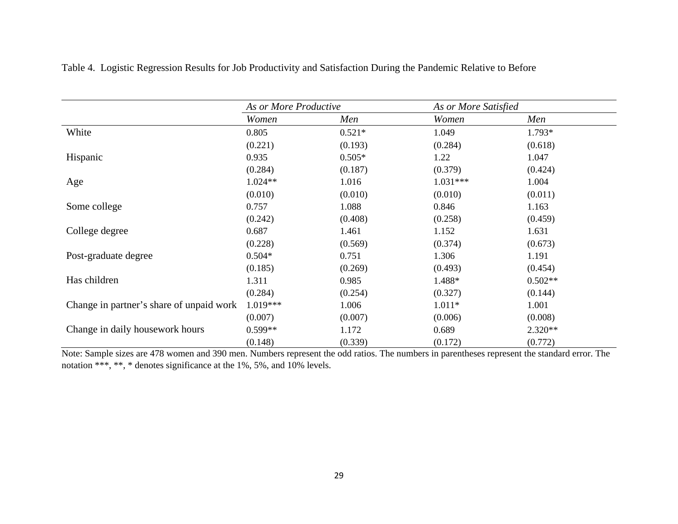|                                          | As or More Productive |          | As or More Satisfied |           |  |
|------------------------------------------|-----------------------|----------|----------------------|-----------|--|
|                                          | Women                 | Men      | Women                | Men       |  |
| White                                    | 0.805                 | $0.521*$ | 1.049                | 1.793*    |  |
|                                          | (0.221)               | (0.193)  | (0.284)              | (0.618)   |  |
| Hispanic                                 | 0.935                 | $0.505*$ | 1.22                 | 1.047     |  |
|                                          | (0.284)               | (0.187)  | (0.379)              | (0.424)   |  |
| Age                                      | $1.024**$             | 1.016    | $1.031***$           | 1.004     |  |
|                                          | (0.010)               | (0.010)  | (0.010)              | (0.011)   |  |
| Some college                             | 0.757                 | 1.088    | 0.846                | 1.163     |  |
|                                          | (0.242)               | (0.408)  | (0.258)              | (0.459)   |  |
| College degree                           | 0.687                 | 1.461    | 1.152                | 1.631     |  |
|                                          | (0.228)               | (0.569)  | (0.374)              | (0.673)   |  |
| Post-graduate degree                     | $0.504*$              | 0.751    | 1.306                | 1.191     |  |
|                                          | (0.185)               | (0.269)  | (0.493)              | (0.454)   |  |
| Has children                             | 1.311                 | 0.985    | 1.488*               | $0.502**$ |  |
|                                          | (0.284)               | (0.254)  | (0.327)              | (0.144)   |  |
| Change in partner's share of unpaid work | $1.019***$            | 1.006    | $1.011*$             | 1.001     |  |
|                                          | (0.007)               | (0.007)  | (0.006)              | (0.008)   |  |
| Change in daily housework hours          | $0.599**$             | 1.172    | 0.689                | $2.320**$ |  |
|                                          | (0.148)               | (0.339)  | (0.172)              | (0.772)   |  |

Table 4. Logistic Regression Results for Job Productivity and Satisfaction During the Pandemic Relative to Before

Note: Sample sizes are 478 women and 390 men. Numbers represent the odd ratios. The numbers in parentheses represent the standard error. The notation \*\*\*, \*\*, \* denotes significance at the 1%, 5%, and 10% levels.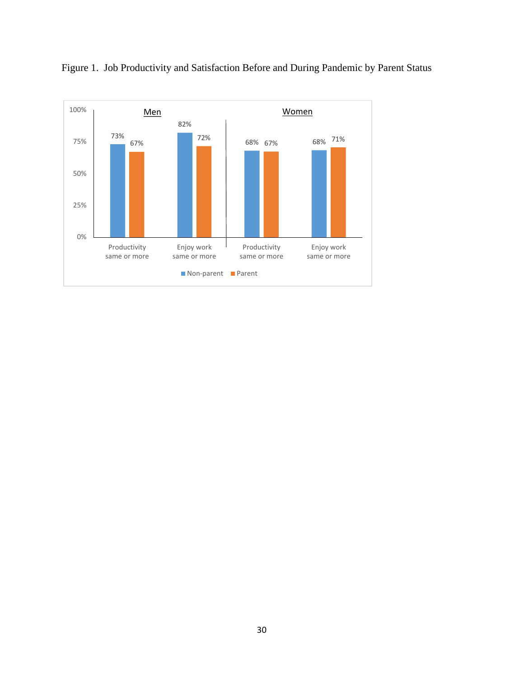

Figure 1. Job Productivity and Satisfaction Before and During Pandemic by Parent Status